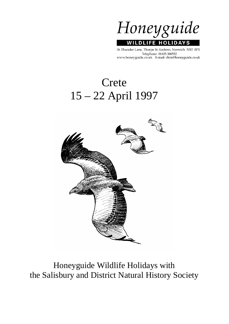

36 Thunder Lane, Thorpe St Andrew, Norwich NR7 0PX Telephone: 01603 300552 www.honeyguide.co.uk E-mail: chris@honeyguide.co.uk

# Crete 15 – 22 April 1997



Honeyguide Wildlife Holidays with the Salisbury and District Natural History Society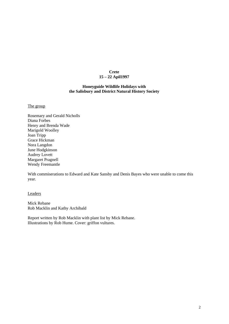# **Crete 15 – 22 Apil1997**

# **Honeyguide Wildlife Holidays with the Salisbury and District Natural History Society**

The group

Rosemary and Gerald Nicholls Diana Forbes Henry and Brenda Wade Marigold Woolley Joan Tripp Grace Hickman Nora Langdon June Hodgkinson Audrey Lovett Margaret Pragnell Wendy Freemantle

With commiserations to Edward and Kate Sansby and Denis Bayes who were unable to come this year.

Leaders

Mick Rebane Rob Macklin and Kathy Archibald

Report written by Rob Macklin with plant list by Mick Rebane. Illustrations by Rob Hume. Cover: griffon vultures.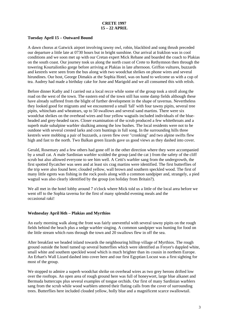# **Tuesday April 15 – Outward Bound**

A dawn chorus at Gatwick airport involving tawny owl, robin, blackbird and song thrush preceded our departure a little late at 0730 hours but in bright sunshine. Our arrival at Iraklion was in cool conditions and we soon met up with our Cretan expert Mick Rebane and boarded the coach to Plakias on the south coast. Our journey took us along the north coast of Crete to Rethymnon then through the towering Kourtaliotiko gorge before arriving at Plakias in late afternoon. Griffon vultures, buzzards and kestrels were seen from the bus along with two woodchat shrikes on phone wires and several hirundines. Our host, George Dimakis at the Sophia Hotel, was on hand to welcome us with a cup of tea. Audrey had made a birthday cake for June and Marigold and we all consumed this with relish.

Before dinner Kathy and I carried out a local recce while some of the group took a stroll along the road on the west of the town. The eastern end of the town still has some damp fields although these have already suffered from the blight of further development in the shape of tavernas. Nevertheless they looked good for migrants and we encountered a small 'fall' with four tawny pipits, several tree pipits, whinchats and wheatears, up to 50 swallows and several sand martins. There were six woodchat shrikes on the overhead wires and four yellow wagtails included individuals of the blueheaded and grey-headed races. Closer examination of the scrub produced a few whitethroats and a superb male subalpine warbler skulking among the low bushes. The local residents were not to be outdone with several crested larks and corn buntings in full song. In the surrounding hills three kestrels were mobbing a pair of buzzards, a raven flew over "cronking" and two alpine swifts flew high and fast to the north. Two Balkan green lizards gave us good views as they dashed into cover.

Gerald, Rosemary and a few others had gone off in the other direction where they were accompanied by a small cat. A male Sardinian warbler scolded the group (and the cat ) from the safety of the cliff scrub but also allowed everyone to see him well. A Cetti's warbler sang from the undergrowth, the first spotted flycatcher was seen and at least six crag martins were identified. The first butterflies of the trip were also found here; clouded yellow, wall brown and southern speckled wood. The first of many little egrets was fishing in the rock pools along with a common sandpiper and, strangely, a pied wagtail was also clearly identified by the group (on holiday from Britain?).

We all met in the hotel lobby around 7 o'clock where Mick told us a little of the local area before we went off to the Sophia taverna for the first of many splendid evening meals and the occasional raki!

# **Wednesday April l6th – Plakias and Myrthios**

An early morning walk along the front was fairly uneventful with several tawny pipits on the rough fields behind the beach plus a sedge warbler singing. A common sandpiper was hunting for food on the little stream which runs through the town and 20 swallows flew in off the sea.

After breakfast we headed inland towards the neighbouring hilltop village of Myrthios. The rough ground outside the hotel tumed up several butterflies which were identified as Freyer's dappled white, small white and southem speckled wood which is much brighter than its cousin in northem Europe. An Erhart's Wall Lizard dashed into cover here and our first Egyptian Locust was a first sighting for most of the group.

We stopped to admire a superb woodchat shrike on overhead wires as two grey herons drifted low over the rooftops. An open area of rough ground here was full of honeywort, large blue alkanet and Bermuda buttercups plus several examples of tongue orchids. Our first of many Sardinian warblers sang from the scrub while wood warblers uttered their fluting calls from the cover of surrounding trees. Butterflies here included clouded yellow, holly blue and a magnificent scarce swallowtail.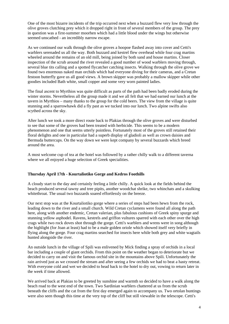One of the most bizarre incidents of the trip occurred next when a buzzard flew very low through the olive groves clutching prey which it dropped right in front of several members of the group. The prey in question was a first-summer moorhen which had a little blood under the wings but otherwise seemed unscathed - an incredibly narrow escape.

As we continued our walk through the olive groves a hoopoe flashed away into cover and Cetti's warblers serenaded us all the way. Both buzzard and kestrel flew overhead while four crag martins wheeled around the remains of an old mill, being joined by both sand and house martins. Closer inspection of the scrub around the river revealed a good number of wood warblers moving through, several blue tits calling and a spotted flycatcher catching insects. Walking through the olive grove we found two enormous naked man orchids which had everyone diving for their cameras, and a Cretan festoon butterfly gave us all good views. A brown skipper was probably a mallow skipper while other goodies included Bath white, small copper and some very worn painted ladies.

The final ascent to Myrthios was quite difficult as parts of the path had been badly eroded during the winter storms. Nevertheless all the group made it and we all felt that we had earned our lunch at the tavern in Myrthios – many thanks to the group for the cold beers. The view from the village is quite stunning and a sparrowhawk did a fly past as we tucked into our lunch. Two alpine swifts also scythed across the sky.

After lunch we took a more direct route back to Plakias through the olive groves and were disturbed to see that some of the groves had been treated with herbicide. This seems to be a modern phenomenon and one that seems utterly pointless. Fortunately most of the groves still retained their floral delights and one in particular had a superb display of gladioli as well as crown daisies and Bermuda buttercups. On the way down we were kept company by several buzzards which breed around the area.

A most welcome cup of tea at the hotel was followed by a rather chilly walk to a different taverna where we all enjoyed a huge selection of Greek specialities.

# **Thursday April 17th - Kourtaliotiko Gorge and Kedros Foothills**

A cloudy start to the day and certainly feeling a little chilly. A quick look at the fields behind the beach produced several tawny and tree pipits, another woodchat shrike, two whinchats and a skulking whitethroat. The usual two buzzards soared effortlessly on the breeze.

Our next stop was at the Kourtaliotiko gorge where a series of steps had been hewn from the rock, leading down to the river and a small church. Wild Cretan cyclamens were found all along the path here, along with another endemic, Cretan valerian, plus fabulous cushions of Greek spiny spurge and stunning yellow asphodel. Ravens, kestrels and griffon vultures sparred with each other over the high crags while two rock doves shot through the gorge. Cetti's warblers and wrens were in song although the highlight (for Joan at least) had to be a male golden oriole which showed itself very briefly in flying along the gorge. Four crag martins searched for insects here while both grey and white wagtails hunted alongside the river.

An outside lunch in the village of Spili was enlivened by Mick finding a spray of orchids in a local bar including a couple of giant orchids. From this point on the weather began to deteriorate but we decided to carry on and visit the famous orchid site in the mountains above Spili. Unfortunately the rain arrived just as we crossed the stream and after seeing a few orchids we had to beat a hasty retreat. With everyone cold and wet we decided to head back to the hotel to dry out, vowing to return later in the week if time allowed.

We arrived back at Plakias to be greeted by sunshine and warmth so decided to have a walk along the beach road to the west end of the town. Two Sardinian warblers chattered at us from the scrub beneath the cliffs and the cat from the first day emerged again to accompany us. Two ortolan buntings were also seen though this time at the very top of the cliff but still viewable in the telescope. Cetti's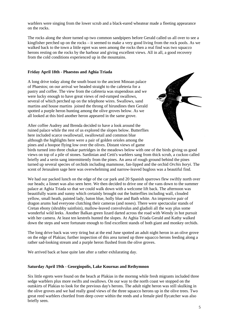warblers were singing from the lower scrub and a black-eared wheatear made a fleeting appearance on the rocks.

The rocks along the shore turned up two common sandpipers before Gerald called us all over to see a kingfisher perched up on the rocks – it seemed to make a very good living from the rock pools. As we walked back to the town a little egret was seen among the rocks then a real find was two squacco herons resting on the rocks by the harbour and giving excellent views. All in all, a good recovery from the cold conditions experienced up in the mountains.

# **Friday April 18th - Phaestos and Aghia Triada**

A long drive today along the south boast to the ancient Minoan palace of Phaestos; on our arrival we headed straight to the cafeteria for a pastry and coffee. The view from the cafeteria was stupendous and we were lucky enough to have great views of red-rumped swallows, several of which perched up on the telephone wires. Swallows, sand martins and house martins joined the throng of hirundines then Gerald spotted a purple heron hunting among the olive groves below. As we all looked at this bird another heron appeared in the same grove.

After coffee Audrey and Brenda decided to have a look around the ruined palace while the rest of us explored the slopes below. Butterflies here included scarce swallowtail, swallowtail and common blue although the highlights here were a pair of golden orioles among the pines and a hoopoe flying low over the olives. Distant views of game



birds turned into three chukar partridges in the meadows below with one of the birds giving us good views on top of a pile of stones. Sardinian and Cetti's warblers sang from thick scrub, a cuckoo called briefly and a serin sang intermittently from the pines. An area of rough ground behind the pines turned up several species of orchids including mammose, fan-lipped and the orchid *Orchis boryi*. The scent of Jerusalem sage here was overwhelming and narrow-leaved bugloss was a beautiful find.

We had our packed lunch on the edge of the car park and 20 Spanish sparrows flew swiftly north over our heads; a linnet was also seen here. We then decided to drive one of the vans down to the summer palace at Aghia Triada so that we could walk down with a welcome lift back. The afternoon was beautifully warm and sunny which certainly brought out the butterflies including wall, clouded yellow, small heath, painted lady, baton blue, holly blue and Bath white. An impressive pair of dragon arums had everyone clutching their cameras (and noses). There were spectacular stands of Cretan ebony (shrubby sainfoin), mallow-leaved convolvulus and gladioli all the way plus some wonderful wild leeks. Another Balkan green lizard darted across the road with Wendy in hot pursuit with her camera. At least ten kestrels hunted the slopes. At Aghia Triada Gerald and Kathy walked down the steps and were fortunate enough to find excellent stands of both giant and monkey orchids.

The long drive back was very tiring but at the end June spotted an adult night heron in an olive grove on the edge of Plakias; further inspection of this area turned up three squacco herons feeding along a rather sad-looking stream and a purple heron flushed from the olive groves.

We arrived back at base quite late after a rather exhilarating day.

# **Saturday April 19th - Georgiopolis, Lake Kournas and Rethymnon**

Six little egrets were found on the beach at Plakias in the mornng while fresh migrants included three sedge warblers plus more swifts and swallows. On our way to the north coast we stopped on the outskirts of Plakias to look for the previous day's herons. The adult night heron was still skulking in the olive groves and we had really good views of the three squacco herons up in the olive trees. Two great reed warblers chortled from deep cover within the reeds and a female pied flycatcher was also briefly seen.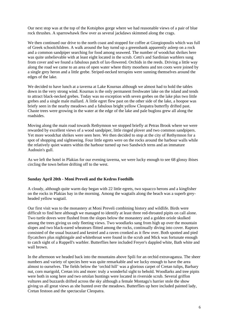Our next stop was at the top of the Kotsiphos gorge where we had reasonable views of a pair of blue rock thrushes. A sparrowhawk flew over as several jackdaws skimmed along the crags.

We then continued our drive to the north coast and stopped for coffee at Giorgiopoulis which was full of Greek schoolchildren. A walk around the bay turnd up a greenshank apparently asleep on a rock and a common sandpiper searching for food among seaweed. The number of woodchat shrikes here was quite unbelievable with at least eight located in the scrub. Cetti's and Sardinian warblers sung from cover and we found a fabulous patch of lax-flowered. Orchids in the reeds. Driving a little way along the road we came to an area of open water where thirty moorhens and ten coots were joined by a single grey heron and a little grebe. Striped-necked terrapins were sunning themselves around the edges of the lake.

We decided to have lunch at a taverna at Lake Kournas although we almost had to hold the tables down in the very strong wind. Kournas is the only permanent freshwater lake on the island and tends to attract black-necked grebes. Today was no exception with seven grebes on the lake plus two little grebes and a single male mallard. A little egret flew past on the other side of the lake, a hoopoe was briefy seen in the nearby meadows and a fabulous bright yellow Cleopatra butterfly drifted past. Chaste trees were growing in the water at the edge of the lake and pale bugloss grew all along the roadsides.

Moving along the main road towards Rethymnon we stopped briefly at Petras Brook where we were rewarded by excellent views of a wood sandpiper, little ringed plover and two common sandpipers. Yet more woodchat shrikes were seen here. We then decided to stop at the city of Rethymnon for a spot of shopping and sightseeing. Four little egrets were on the rocks around the harbour walls while the relatively quiet waters within the harbour turned up two Sandwich terns and an immature Audouin's gull.

As we left the hotel in Plakias for our evening taverna, we were lucky enough to see 68 glossy ibises circling the town before drifting off to the west.

# **Sunday April 20th - Moni Preveli and the Kedros Foothills**

A cloudy, although quite warm day began with 22 little egrets, two squacco herons and a kingfisher on the rocks in Plakias bay in the morning. Among the wagtails along the beach was a superb greyheaded yellow wagtail.

Our first visit was to the monastery at Moni Preveli combining history and wildlife. Birds were difficult to find here although we managed to identify at least three red-throated pipits on call alone. Two turtle doves were flushed from the slopes below the monastery and a golden oriole skulked among the trees giving us only fleeting views. Two woodlarks sang from high up over the mountain slopes and two black-eared wheatears flitted among the rocks, continually diving into cover. Raptors consisted of the usual buzzard and kestrel and a raven cronked as it flew over. Both spotted and pied flycatchers plus nightingale and whitethroat were found in the scrub and Mick was fortunate enough to catch sight of a Ruppell's warbler. Butterflies here included Freyer's dappled white, Bath white and wall brown.

In the afternoon we headed back into the mountains above Spili for an orchid extravaganza. The sheer numbers and variety of species here was quite remarkable and we lucky enough to have the area almost to ourselves. The fields below the 'orchid hill' was a glorious carpet of Cretan tulips, Barbary nut, corn marigold, Cretan iris and more: truly a wonderful sight to behold. Woodlarks and tree pipits were both in song here and two ortolan buntings were located in riverside scrub. Several griffon vultures and buzzards drifted across the sky although a female Montagu's harrier stole the show giving us all great views as she hunted over the meadows. Butterflies up here included painted lady, Cretan festoon and the spectacular Cleopatra.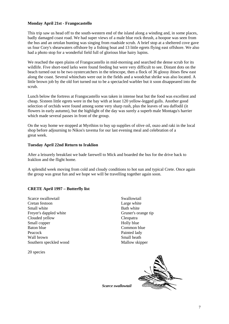# **Monday April 21st - Frangocastello**

This trip saw us head off to the south-western end of the island along a winding and, in some places, badly damaged coast road. We had super views of a male blue rock thrush, a hoopoe was seen from the bus and an ortolan bunting was singing from roadside scrub. A brief stop at a sheltered cove gave us four Cory's shearwaters offshore by a fishing boat and 13 little egrets flying east offshore. We also had a photo stop for a wonderful field full of glorious blue hairy lupins.

We reached the open plains of Frangocastello in mid-morning and searched the dense scrub for its wildlife. Five short-toed larks were found feeding but were very difficult to see. Distant dots on the beach turned out to be two oystercatchers in the telescope, then a flock of 36 glossy ibises flew east along the coast. Several whinchats were out in the fields and a woodchat shrike was also located. A little brown job by the old fort turned out to be a spectacled warbler but it soon disappeared into the scrub.

Lunch below the fortress at Frangocastello was taken in intense heat but the food was excellent and cheap. Sixteen little egrets were in the bay with at least 120 yellow-legged gulls. Another good selection of orchids were found among some very sharp rush, plus the leaves of sea daffodil (it flowers in early autumn), but the highlight of the day was surely a superb male Montagu's harrier which made several passes in front of the group.

On the way home we stopped at Myrthios to buy up supplies of olive oil, ouzo and raki in the local shop before adjourning to Nikos's tavema for our last evening meal and celebration of a great week.

# **Tuesday April 22nd Return to Iraklion**

After a leisurely breakfast we bade farewell to Mick and boarded the bus for the drive back to Iraklion and the flight home.

A splendid week moving from cold and cloudy conditions to hot sun and typical Crete. Once again the group was great fun and we hope we will be travelling together again soon.

# **CRETE April 1997 – Butterfly list**

Scarce swallowtail Cretan festoon Small white Freyer's dappled white Clouded yellow Small copper Baton blue Peacock Wall brown Southern speckled wood

20 species

Swallowtail Large white Bath white Gruner's orange tip Cleopatra Holly blue Common blue Painted lady Small heath Mallow skipper



*Scarce swallowtail*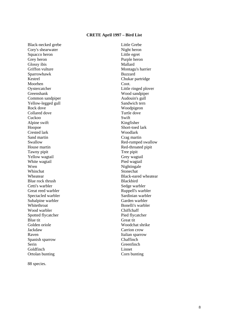# **CRETE April 1997 – Bird List**

Black-necked grebe Cory's shearwater Squacco heron Grey heron Glossy ibis Griffon vulture Sparrowhawk Kestrel Moorhen Oystercatcher Greenshank Common sandpiper Yellow-legged gull Rock dove Collared dove Cuckoo Alpine swift Hoopoe Crested lark Sand martin Swallow House martin Tawny pipit Yellow wagtail White wagtail Wren Whinchat Wheatear Blue rock thrush Cetti's warbler Great reed warbler Spectacled warbler Subalpine warbler **Whitethroat** Wood warbler Spotted flycatcher Blue tit Golden oriole Jackdaw Raven Spanish sparrow Serin Goldfinch Ortolan bunting

Little Grebe Night heron Little egret Purple heron Mallard Montagu's harrier Buzzard Chukar partridge Coot. Little ringed plover Wood sandpiper Audouin's gull Sandwich tern Woodpigeon Turtle dove Swift Kingfisher Short-toed lark Woodlark Crag martin Red-rumped swallow Red-throated pipit Tree pipit Grey wagtail Pied wagtail Nightingale Stonechat Black-eared wheatear Blackbird Sedge warbler Ruppell's warbler Sardinian warbler Garden warbler Bonelli's warbler Chiffchaff Pied flycatcher Great tit Woodchat shrike Carrion crow Italian sparrow **Chaffinch Greenfinch** Linnet Corn bunting

88 species.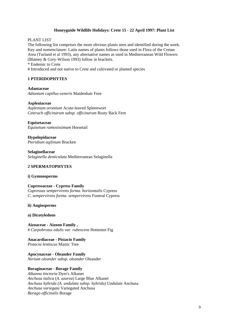# **Honeyguide Wildlife Holidays: Crete 15 - 22 April 1997: Plant List**

PLANT LIST

The following list comprises the more obvious plants seen and identified during the week. Key and nomenclature: Latin names of plants follows those used in Flora of the Cretan Area (Turland et al 1993), any alternative names as used in Mediterranean Wild Flowers (Blamey & Grey-Wilson 1993) follow in brackets. \* Endemic to Crete

# Introduced and not native to Crete and cultivated or planted species

# **1 PTERIDOPHYTES**

**Adantaceae** *Adiantum capillus-veneris* Maidenhair Fern

#### **Aspleniaceae**

*Asplenium orontium* Acute-leaved Spleenwort *Ceterach officinarum subsp. officinarum* Rusty Back Fern

**Equisetaceae** *Equisetum ramosissimum* Horsetail

**Hypolepidaceae** *Pteridium aqilinum* Bracken

**Selaginellaceae** *Selaginella denticulata* Mediterranean Selaginella

# **2 SPERMATOPHYTES**

# **i) Gymnosperms**

**Cupressaceae - Cypress Family**  *Cupressus sempervirens forma. horizontalis* Cypress *C. sempervirens forma. sempervirens* Funeral Cypress

**ii) Angiosperms** 

#### **a) Dicotyledons**

**Aizoaceae - Aizoon Family ,**  # *Carpobrotus edulis var. rubescens* Hottentot Fig

**Anacardiaceae - Pistacio Family**  *Pistacia lentiscus* Mastic Tree

**Apocynaceae - Oleander Family**  *Nerium oleander subsp. oleander* Oleander

# **Boraginaceae - Borage Family**

*Alkanna tinctoria* Dyer's Alkanet *Anchusa italica* (*A. azurea*) Large Blue Alkanet *Anchusa hybrida (A. undulata subsp. hybrida)* Undulate Anchusa *Anchusa variegata* Variegated Anchusa *Borago officinalis* Borage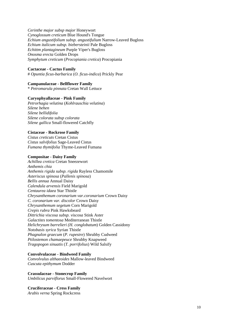*Cerinthe major subsp major* Honeywort *Cynoglossum creticum* Blue Hound's Tongue *Echium angustifolium subsp. angustifulium* Narrow-Leaved Bugloss *Echium italicum subsp. biebersteinii* Pale Bugloss *Echittm plantagineum* Purple Viper's Bugloss *Onosma erecta* Golden Drops *Symphytum creticum* (*Procopiania cretica*) Procopiania

#### **Cactaceae - Cactus Family**

# *Opuntia ficus-barbarica* (*O. ficus-indica*) Prickly Pear

# **Campanulaceae - Bellflower Family**

\* *Petromarula pinnata* Cretan Wall Lettuce

#### **Caryophyallaceae - Pink Family**

*Petrorhagia velutina* (*Kohlrauschia velutina*) *Silene behen Silene bellidifolia Silene colorata subsp colorata Silene gallica* Small-flowered Catchfly

# **Cistaceae - Rockrose Family**

*Cistus creticuts* Cretan Cistus *Cistus salvifolius* Sage-Leaved Cistus *Fumana thymifolia* Thyme-Leaved Fumana

#### **Compositae - Daisy Family**

*Achillea cretica* Cretan Sneezewort *Anthemis chia Anthemis rigida subsp. rigida* Rayless Chamomile *Asteriscus spinosa* (*Pallenis spinosa*) *Bellis annua* Annual Daisy *Calendula arvensis* Field Marigold *Centaurea idaea* Star Thistle *Chrysanthemum coronarium var.coronarium* Crown Daisy *C. coronarium var. discolor* Crown Daisy *Chrysanthemum segetum* Corn Marigold *Crepis rubra* Pink Hawksbeard *Dittrichia viscosa subsp. viscosa* Stink Aster *Galactites tomentosa* Mediterranean Thistle *Helichrysum barrelieri (H. conglobatum*) Golden Cassidony *Notobasis syrica* Syrian Thistle *Phagnalon graecum* (*P. rupestre*) Shrubby Cudweed *Ptilostemon chamaepeuce* Shrubby Knapweed *Tragopogon sinuatis* (*T. porrifolius*) Wild Salsify

#### **Convolvulaceae - Bindweed Family**

*Convolvulus althaeoides* Mallow-leaved Bindweed *Cuscuta epithymum* Dodder

#### **Crassulaceae - Stonecrop Family**  *Umbilicus parviflorus* Small-Flowered Navelwort

# **Cruciferaceae - Cress Family**

*Arabis verna* Spring Rockcress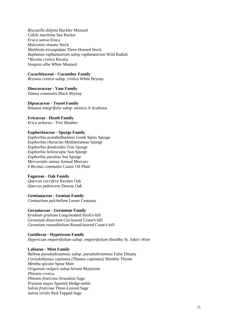*Biscutella didyma* Buckler Mustard *Cakile maritima* Sea Rocket *Eruca sativa* Eruca *Malcomia sinuata* Stock *Matthiola tricuspidata* Three-Horned Stock *Raphanus raphanastrum subsp raphanastrum* Wild Radish \**Ricotia cretica* Ricotia *Sinapsis alba* White Mustard

# **Cucurbitaceae - Cucumber Family**

*Bryonia cretica subsp. cretica* White Bryony

**Dioscoraceae - Yam Family**  *Tamus communis* Black Bryony

**Dipsacaceae - Teasel Family**  *Knautia integrifolia subsp. mimica* A Scabious

**Ericaceae - Heath Family** 

*Erica arborea - Tree Heather* 

# **Euphorbiaceae - Spurge Family**

*Euphorbia acanthothamnos* Greek Spiny Spurge *Euphorbia characias* Mediterranean Spurge *Euphorbia dendroides* Tree Spurge *Euphorbia helioscopia* Sun Spurge *Euphorbia paralias* Sea Spurge *Mercurialis annua* Annual Mercurv # *Ricinus communis* Castor Oil Plant

# **Fagaceae - Oak Family**

*Quercus coccifera* Kermes Oak *Quercus pubescens* Downy Oak

**Gentianaceae - Gentian Family** 

*Centaurium pulchellum* Lesser Centaury

# **Geraniaceae - Geranium Family**

*Erodium gruinum* Long-beaked Stork's-bill *Geranium dissectum* Cut-leaved Crane's-bill *Geranium rotundifolium* Round-leaved Crane's-bill

# **Guttiferae - Hypericum Family**

*Hypericum empetrifolium subsp. empetrifolium* Shrubby St. John's Wort

# **Labiatae - Mint Family**

*Ballota pseudodictamnus subsp. pseudodictamnus* False Dittany *Coriodothymus capitatus (Thymus capitatus*) Shrubby Thyme *Mentha spicata* Spear Mint *Origanum vulgare subsp hirtum* Marjoram *Phlomis cretica Phlomis fruticosa* Jerusalem Sage *Prasium majus* Spanish Hedge-nettle *Salvia fruticosa* Three-Leaved Sage *Salvia viridis* Red-Topped Sage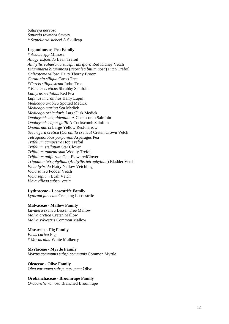*Satureja nervosa Satureja thymbra* Savory \* *Scutellaria sieberi* A Skullcap

#### **Leguminosae -Pea Family**

# *Acacia spp* Mimosa *Anagyris.foetida* Bean Trefoil *Anthyllis vulneraria subsp. rubriflora* Red Kidney Vetch *Bituminaria bituminosa* (*Psoralea bituminosa*) Pitch Trefoil *Calicotome villosa* Hairy Thorny Broom *Ceratonia siliqua* Carob Tree #*Cercis siliquastrum* Judas Tree \* *Ebenus creticus* Shrubby Sainfoin *Lathyrus setifolius* Red Pea *Lupinus micranthus* Hairy Lupin *Medicago arabica* Spotted Medick *Medicago marina* Sea Medick *Medicago orbicularis* LargeDisk Medick *Onobrychis aequidentata* A Cockscomb Sainfoin *Onobrychis caput-gallii* A Cockscomb Sainfoin *Ononis natrix* Large Yellow Rest-harrow *Securigera cretica* (*Coronilla cretica*) Cretan Crown Vetch *Tetragonolobus purpureus* Asparagus Pea *Trifolium campestre* Hop Trefoil *Trifolium stellatum* Star Clover *Trifolium tomentosum* Woolly Trefoil *Trifolium uniflorum* One-FloweredClover *Tripodion tetraphyllum* (*Anthyllis tetraphyllum*) Bladder Vetch *Vicia hybrida* Hairy Yellow Vetchling *Vicia sativa* Fodder Vetch *Vicia sepium* Bush Vetch *Vicia villosa subsp. varia* 

#### **Lythraceae - Loosestrife Family**

*Lythrum junceum* Creeping Loosestrife

#### **Malvaceae - Mallow Famity**

*Lavatera cretica* Lesser Tree Mallow *Malva cretica* Cretan Mallow *Malva sylvestris* Common Mallow

#### **Moraceae - Fig Family**

*Ficus carica* Fig # *Morus alba* White Mulberry

**Myrtaceae - Myrtle Family**  *Myrtus communis subsp communis* Common Myrtle

#### **Oleaceae - Olive Family**

*Olea europaea subsp. europaea* Olive

**Orobanchaceae - Broomrape Family**  *Orobanche ramosa* Branched Brooinrape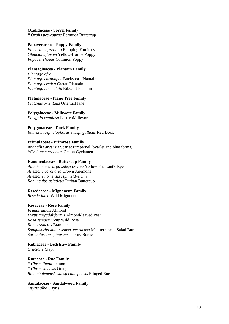#### **Oxalidaceae - Sorrel Family**  # *Oxalis pes-caprae* Bermuda Buttercup

**Papaveraceae - Poppy Family** 

*Fumaria capreolata* Ramping Fumitory *Glaucium.flavum* Yellow-HornedPoppy *Papaver rhoeas* Common Poppy

# **Plantaginacea - Plantain Family**

*Plantago afra Plantago coronopus* Buckshorn Plantain *Plantago cretica* Cretan Plantain *Plantago lanceolata* Ribwort Plantain

# **Platanaceae - Plane Tree Family**

*Platanus orientalis* OrientalPlane

# **Polygalaceae - Milkwort Family**

*Polygala venulosa* EasternMilkwort

# **Polygonaceae - Dock Famity**

*Rumex bucephalophorus subsp. gallicus* Red Dock

# **Primulaceae - Primrose Family**

*Anagallis arvensis* Scarlet Pimpernel (Scarlet and blue forms) \**Cyclamen creticum* Cretan Cyclamen

# **Ranunculaceae - Buttercup Family**

*Adonis microcarpa subsp cretica* Yellow Pheasant's-Eye *Anemone coronaria* Crown Anemone *Anemone hortensis ssp. heldreichii Ranunculus asiaticus* Turban Buttercup

# **Resedaceae - Mignonette Family**

*Reseda lutea* Wild Mignonette

# **Rosaceae - Rose Family**

*Prunus dulcis* Almond *Pyrus amygdaliformis* Almond-leaved Pear *Rosa sempervirens* Wild Rose *Rubus sanctus* Bramble *Sanguisorba minor subsp. verrucosa* Mediterranean Salad Burnet *Sarcopterium spinosum* Thorny Burnet

# **Rubiaceae - Bedstraw Family**

*Crucianella sp.* 

# **Rutaceae - Rue Family**

# *Citrus limon* Lemon # *Citrus sinensis* Orange *Ruta chalepensis subsp chalepensis* Fringed Rue

# **Santalaceae - Sandalwood Family**

*Osyris alba* Osyris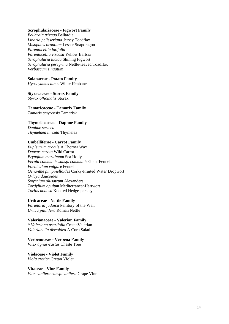#### **Scrophulariaceae - Figwort Family**

*Bellardia trixago* Bellardia *Linaria pelisseriana* Jersey Toadflax *Misopates orontium* Lesser Snapdragon *Parentucellia latifolia Parentucellia viscosa* Yellow Bartsia *Scrophularia lucida* Shining Figwort *Scrophularia peregrina* Nettle-leaved Toadflax *Verbascum sinuatum* 

#### **Solanaceae - Potato Famity**

*Hyoscyamus albus* White Henbane

# **Styracaceae - Storax Family**

*Styrax officinalis* Storax

# **Tamaricaceae - Tamarix Family**

*Tamarix smyrensis* Tamarisk

# **Thymelaeaceae - Daphne Family**

*Daphne sericea Thymelaea hirsuta* Thymelea

#### **Umbelliferae - Carrot Family**

*Bupleurum gracile* A Thorow Wax *Daucus carota* Wild Carrot *Eryngium maritimum* Sea Holly *Ferula communis subsp. communis* Giant Fennel *Foeniculum vulgare* Fennel *Oenanthe pimpinelloides* Corky-Fruited Water Dropwort *Orlaya daucoides Smyrnium olusatrum* Alexanders *Tordylium apulum* MediterraneanHartwort *Torilis nodosa* Knotted Hedge-parsley

# **Urticaceae - Nettle Family**

*Parietaria judaica* Pellitory of the Wall *Urtica pilulifera* Roman Nettle

#### **Valerianaceae - Valerian Family**  \* *Valeriana asarifolia* CretanValerian *Valerianella discoidea* A Corn Salad

**Verbenuceae - Verbena Family**  *Vitex agnus-castus* Chaste Tree

**Violaceae - Violet Family**  *Viola cretica* Cretan Violet

#### **Vitaceae - Vine Family**  *Vitus vinifera subsp. vinifera* Grape Vine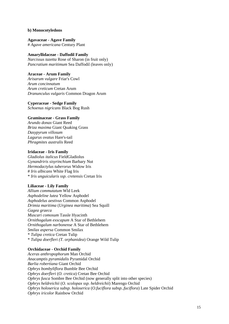#### **b) Monocotyledons**

**Agavaceae - Agave Family**  # *Agave americana* Century Plant

# **Amaryllidaceae - Daffodil Family**

*Narcissus tazetta* Rose of Sharon (in fruit only) *Pancratium maritimum* Sea Daffodil (leaves only)

# **Araceae - Arum Family**

*Arisarum vulgare* Friar's Cowl *Arum concinnatum Arum creticum* Cretan Arum *Dranunculus vulgaris* Common Dragon Arum

#### **Cyperaceae - Sedge Family**

*Schoenus nigricans* Black Bog Rush

# **Graminaceae - Grass Family**

*Arundo donax* Giant Reed *Briza maxima* Giant Quaking Grass *Dasypyrum villosum Lagurus ovatus* Hare's-tail *Phragmites australis* Reed

# **Iridaceae - Iris Family**

*Gladiolus italicus* FieldGladiolus *Gynandriris sisyrinchium* Barbary Nut *Hermodactylus tuberorus* Widow Iris # *Iris albicans* White Flag Iris \* *Iris unguicularis ssp. cretensis* Cretan Iris

# **Liliaceae - Lily Family**

*Allium commutatum* Wld Leek *Asphodeline lutea* Yellow Asphodel *Asphodelus aestivus* Common Asphodel *Drimia maritima* (*Urginea maritima*) Sea Squill *Gagea graeca Muscari comosum* Tassle Hyacinth *Ornithogalum exscapum* A Star of Bethlehem *Ornithogalum narbonense* A Star of Bethlehem *Smilax aspersa* Common Smilax \* *Tulipa cretica* Cretan Tulip \* *Tulipa doerfleri (T. orphanidea*) Orange Wild Tulip

# **Orchidaceae - Orchid Family**

*Aceras anthropophorum* Man Orchid *Anacamptis pyramidalis* Pyramidal Orchid *Barlia robertiana* Giant Orchid *Ophrys bombyliflora* Bumble Bee Orchid *Ophrys doerfleri* (*O. cretica*) Cretan Bee Orchid *Ophrys fusca* Sombre Bee Orchid (now generally split into other species) *Ophrys heldreichii* (*O. scolopax ssp. heldreichii*) Marengo Orchid *Ophrys holoserica subsp. holoserica* (*O.fuciflora subsp..fuciflora*) Late Spider Orchid *Ophrys iricolor* Rainbow Orchid